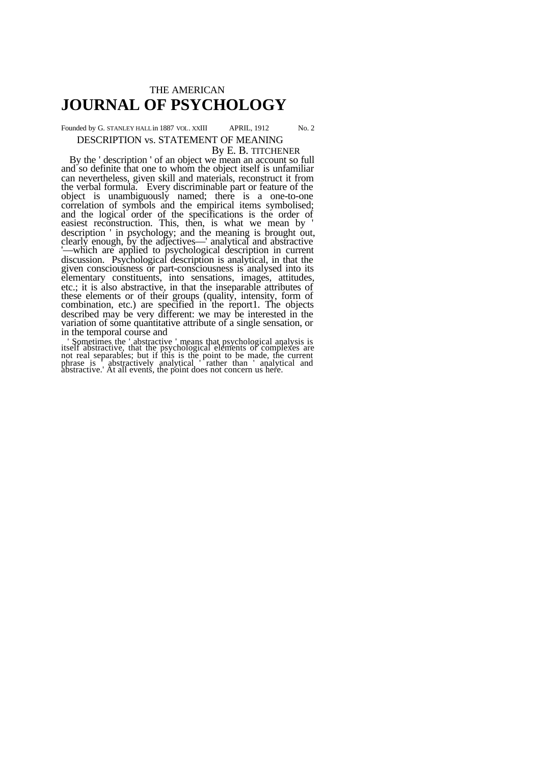# THE AMERICAN **JOURNAL OF PSYCHOLOGY**

## Founded by G. STANLEY HALL in 1887 VOL. XXIII APRIL, 1912 No. 2 DESCRIPTION vs. STATEMENT OF MEANING

By E. B. TITCHENER By the ' description ' of an object we mean an account so full and so definite that one to whom the object itself is unfamiliar can nevertheless, given skill and materials, reconstruct it from the verbal formula. Every discriminable part or feature of the object is unambiguously named; there is a one-to-one correlation of symbols and the empirical items symbolised; and the logical order of the specifications is the order of easiest reconstruction. This, then, is what we mean by ' description ' in psychology; and the meaning is brought out, clearly enough, by the adjectives—' analytical and abstractive '—which are applied to psychological description in current discussion. Psychological description is analytical, in that the given consciousness or part-consciousness is analysed into its elementary constituents, into sensations, images, attitudes, etc.; it is also abstractive, in that the inseparable attributes of these elements or of their groups (quality, intensity, form of combination, etc.) are specified in the report1. The objects described may be very different: we may be interested in the variation of some quantitative attribute of a single sensation, or in the temporal course and

' Sometimes the ' abstractive ' means that psychological analysis is itself abstractive, that the psychological elements or complexes are not real separables; but if this is the point to be made, the current phrase is ' abstractively analytical ' rather than ' analytical and abstractive.' At all events, the point does not concern us here.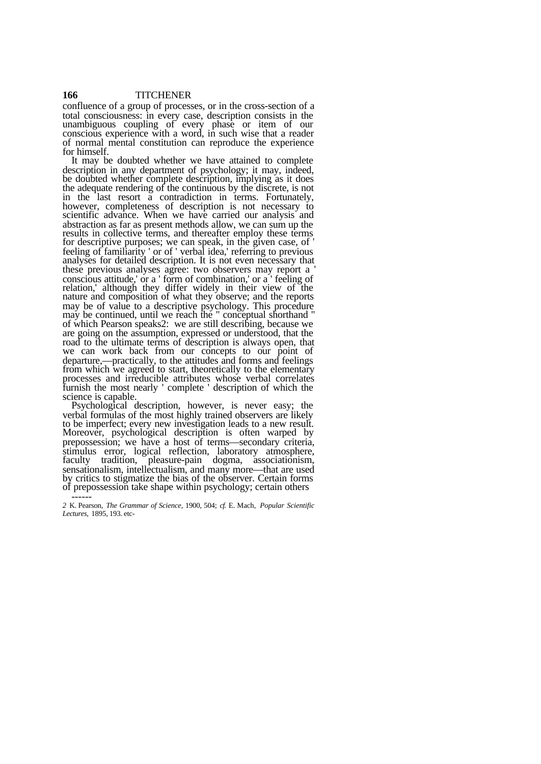confluence of a group of processes, or in the cross-section of a total consciousness: in every case, description consists in the unambiguous coupling of every phase or item of our conscious experience with a word, in such wise that a reader of normal mental constitution can reproduce the experience for himself.

It may be doubted whether we have attained to complete description in any department of psychology; it may, indeed, be doubted whether complete description, implying as it does the adequate rendering of the continuous by the discrete, is not in the last resort a contradiction in terms. Fortunately, however, completeness of description is not necessary to scientific advance. When we have carried our analysis and abstraction as far as present methods allow, we can sum up the results in collective terms, and thereafter employ these terms for descriptive purposes; we can speak, in the given case, of ' feeling of familiarity ' or of ' verbal idea,' referring to previous analyses for detailed description. It is not even necessary that these previous analyses agree: two observers may report a ' conscious attitude,' or a ' form of combination,' or a ' feeling of relation,' although they differ widely in their view of the nature and composition of what they observe; and the reports may be of value to a descriptive psychology. This procedure may be continued, until we reach the " conceptual shorthand " of which Pearson speaks2: we are still describing, because we are going on the assumption, expressed or understood, that the road to the ultimate terms of description is always open, that we can work back from our concepts to our point of departure,—practically, to the attitudes and forms and feelings from which we agreed to start, theoretically to the elementary processes and irreducible attributes whose verbal correlates furnish the most nearly ' complete ' description of which the science is capable.

Psychological description, however, is never easy; the verbal formulas of the most highly trained observers are likely to be imperfect; every new investigation leads to a new result. Moreover, psychological description is often warped by prepossession; we have a host of terms—secondary criteria, stimulus error, logical reflection, laboratory atmosphere, faculty tradition, pleasure-pain dogma, associationism, sensationalism, intellectualism, and many more—that are used by critics to stigmatize the bias of the observer. Certain forms of prepossession take shape within psychology; certain others ------

*<sup>2</sup>* K. Pearson, *The Grammar of Science,* 1900, 504; *cf.* E. Mach, *Popular Scientific Lectures,* 1895, 193. etc-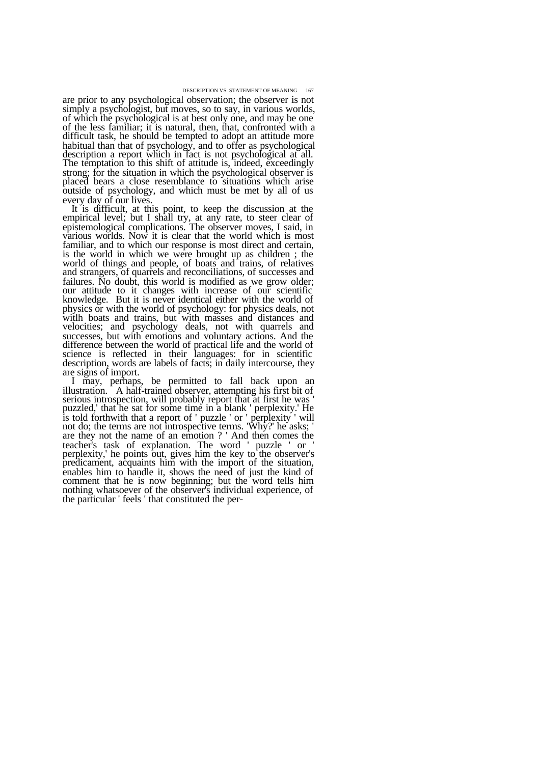are prior to any psychological observation; the observer is not simply a psychologist, but moves, so to say, in various worlds, of which the psychological is at best only one, and may be one of the less familiar; it is natural, then, that, confronted with a difficult task, he should be tempted to adopt an attitude more habitual than that of psychology, and to offer as psychological description a report which in fact is not psychological at all. The temptation to this shift of attitude is, indeed, exceedingly strong; for the situation in which the psychological observer is placed bears a close resemblance to situations which arise outside of psychology, and which must be met by all of us every day of our lives.

It is difficult, at this point, to keep the discussion at the empirical level; but I shall try, at any rate, to steer clear of epistemological complications. The observer moves, I said, in various worlds. Now it is clear that the world which is most familiar, and to which our response is most direct and certain, is the world in which we were brought up as children ; the world of things and people, of boats and trains, of relatives and strangers, of quarrels and reconciliations, of successes and failures. No doubt, this world is modified as we grow older; our attitude to it changes with increase of our scientific knowledge. But it is never identical either with the world of physics or with the world of psychology: for physics deals, not witlh boats and trains, but with masses and distances and velocities; and psychology deals, not with quarrels and successes, but with emotions and voluntary actions. And the difference between the world of practical life and the world of science is reflected in their languages: for in scientific description, words are labels of facts; in daily intercourse, they are signs of import.

I may, perhaps, be permitted to fall back upon an illustration. A half-trained observer, attempting his first bit of serious introspection, will probably report that at first he was puzzled,' that he sat for some time in a blank ' perplexity.' He is told forthwith that a report of ' puzzle ' or ' perplexity ' will not do; the terms are not introspective terms. 'Why?' he asks; ' are they not the name of an emotion ? ' And then comes the teacher's task of explanation. The word ' puzzle ' or ' perplexity,' he points out, gives him the key to the observer's predicament, acquaints him with the import of the situation, enables him to handle it, shows the need of just the kind of comment that he is now beginning; but the word tells him nothing whatsoever of the observer's individual experience, of the particular ' feels ' that constituted the per-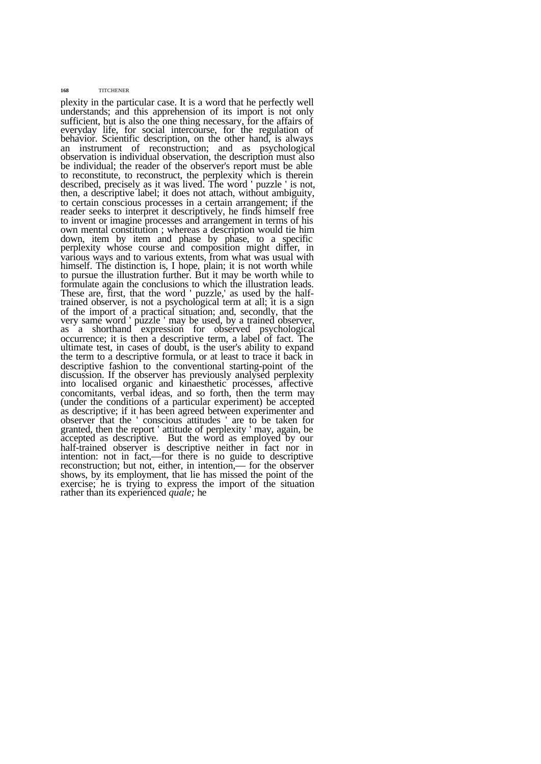plexity in the particular case. It is a word that he perfectly well understands; and this apprehension of its import is not only sufficient, but is also the one thing necessary, for the affairs of everyday life, for social intercourse, for the regulation of behavior. Scientific description, on the other hand, is always an instrument of reconstruction; and as psychological observation is individual observation, the description must also be individual; the reader of the observer's report must be able to reconstitute, to reconstruct, the perplexity which is therein described, precisely as it was lived. The word ' puzzle ' is not, then, a descriptive label; it does not attach, without ambiguity, to certain conscious processes in a certain arrangement; if the reader seeks to interpret it descriptively, he finds himself free to invent or imagine processes and arrangement in terms of his own mental constitution ; whereas a description would tie him down, item by item and phase by phase, to a specific perplexity whose course and composition might differ, in various ways and to various extents, from what was usual with himself. The distinction is, I hope, plain; it is not worth while to pursue the illustration further. But it may be worth while to formulate again the conclusions to which the illustration leads. These are, first, that the word ' puzzle,' as used by the halftrained observer, is not a psychological term at all; it is a sign of the import of a practical situation; and, secondly, that the very same word ' puzzle ' may be used, by a trained observer, as a shorthand expression for observed psychological occurrence; it is then a descriptive term, a label of fact. The ultimate test, in cases of doubt, is the user's ability to expand the term to a descriptive formula, or at least to trace it back in descriptive fashion to the conventional starting-point of the discussion. If the observer has previously analysed perplexity into localised organic and kinaesthetic processes, affective concomitants, verbal ideas, and so forth, then the term may (under the conditions of a particular experiment) be accepted as descriptive; if it has been agreed between experimenter and observer that the ' conscious attitudes ' are to be taken for granted, then the report ' attitude of perplexity ' may, again, be accepted as descriptive. But the word as employed by our half-trained observer is descriptive neither in fact nor in intention: not in fact,—for there is no guide to descriptive reconstruction; but not, either, in intention,— for the observer shows, by its employment, that lie has missed the point of the exercise; he is trying to express the import of the situation rather than its experienced *quale;* he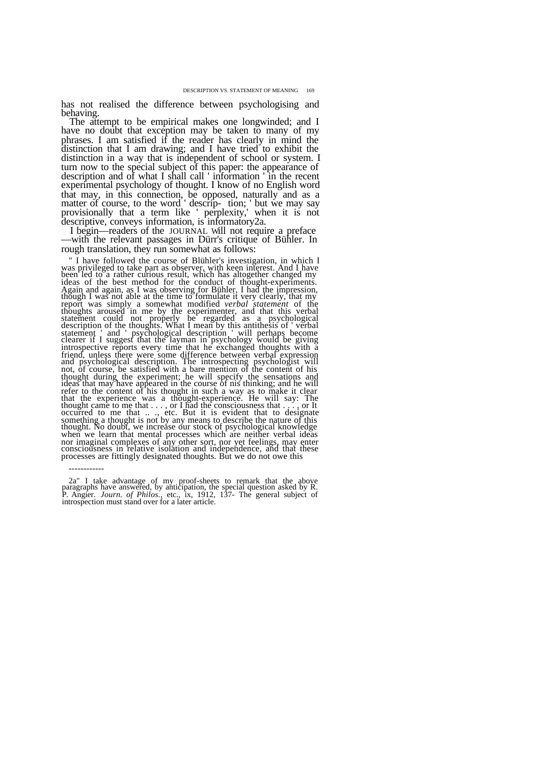has not realised the difference between psychologising and behaving.

The attempt to be empirical makes one longwinded; and I have no doubt that exception may be taken to many of my phrases. I am satisfied if the reader has clearly in mind the distinction that I am drawing; and I have tried to exhibit the distinction in a way that is independent of school or system. I turn now to the special subject of this paper: the appearance of description and of what I shall call ' information ' in the recent experimental psychology of thought. I know of no English word that may, in this connection, be opposed, naturally and as a matter of course, to the word ' descrip- tion; ' but we may say provisionally that a term like ' perplexity,' when it is not descriptive, conveys information, is informatory2a.

I begin—readers of the JOURNAL Will not require a preface —with the relevant passages in Dürr's critique of Bühler. In rough translation, they run somewhat as follows: rough translation, they run somewhat as follows:

" I have followed the course of Blühler's investigation, in which I was privileged to take part as observer, with keen interest. And I have been led to a rather curious result, which has altogether changed my ideas of the best method for the conduct of thought-experiments. Again and again, as I was observing for Bühler, I had the impression, though I was not able at the time to formulate it very clearly, that my report was simply a somewhat modified *verbal statement* of the thoughts aroused in me by the experimenter, and that this verbal statement could not properly be regarded as a psychological description of the thoughts. What I mean by this antithesis of ' verbal statement ' and ' psychological description ' will perhaps become clearer if I suggest that the layman in psychology would be giving introspective reports every time that he exchanged thoughts with a friend, unless there were some difference between verbal expression and psychological description. The introspecting psychologist will not, of course, be satisfied with a bare mention of the content of his thought during the experiment; he will specify the sensations and ideas that may have appeared in the course of nis thinking; and he will refer to the content of his thought in such a way as to make it clear that the experience was a thought-experience. He will say: The thought came to me that . . . , or I had the consciousness that . . . , or It occurred to me that .. ., etc. But it is evident that to designate something a thought is not by any means to describe the nature of this thought. No doubt, we increase our stock of psychological knowledge when we learn that mental processes which are neither verbal ideas nor imaginal complexes of any other sort, nor yet feelings, may enter consciousness in relative isolation and independence, and that these processes are fittingly designated thoughts. But we do not owe this

2a" I take advantage of my proof-sheets to remark that the above paragraphs have answered, by anticipation, the special question asked by R. P. Angier. *Journ. of Philos.,* etc., ix, 1912, 137- The general subject of introspection must stand over for a later article.

------------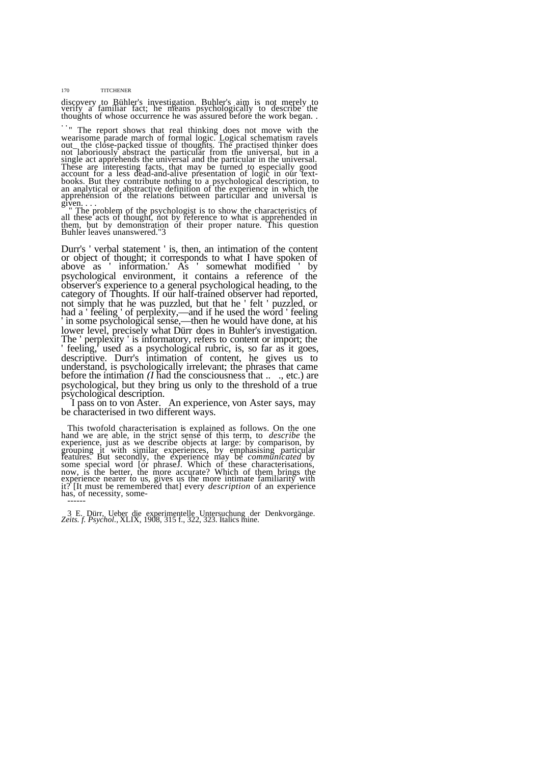discovery to Bühler's investigation. Buhler's aim is not merely to verify a familiar fact; he means psychologically to describe the thoughts of whose occurrence he was assured before the work began. .

. . " The report shows that real thinking does not move with the wearisome parade march of formal logic. Logical schematism ravels out\_ the close-packed tissue of thoughts. The practised thinker does not laboriously abstract the particular from the universal, but in a single act apprehends the universal and the particular in the universal. These are interesting facts, that may be turned to especially good account for a less dead-and-alive presentation of logic in our textbooks. But they contribute nothing to a psychological description, to an analytical or abstractive definition of the experience in which the apprehension of the relations between particular and universal is given. . . .

" The problem of the psychologist is to show the characteristics of all these acts of thought, not by reference to what is apprehended in them, but by demonstration of their proper nature. This question Buhler leaves unanswered."3

Durr's ' verbal statement ' is, then, an intimation of the content or object of thought; it corresponds to what I have spoken of above as ' information.' As ' somewhat modified ' by psychological environment, it contains a reference of the observer's experience to a general psychological heading, to the category of Thoughts. If our half-trained observer had reported, not simply that he was puzzled, but that he ' felt ' puzzled, or had a ' feeling ' of perplexity,—and if he used the word ' feeling ' in some psychological sense,—then he would have done, at his lower level, precisely what Dürr does in Buhler's investigation. The ' perplexity ' is informatory, refers to content or import; the ' feeling,<sup>†</sup> used as a psychological rubric, is, so far as it goes, descriptive. Durr's intimation of content, he gives us to understand, is psychologically irrelevant; the phrases that came before the intimation *(I* had the consciousness that .. ., etc.) are psychological, but they bring us only to the threshold of a true psychological description.

I pass on to von Aster. An experience, von Aster says, may be characterised in two different ways.

This twofold characterisation is explained as follows. On the one hand we are able, in the strict sense of this term, to *describe* the experience, just as we describe objects at large: by comparison, by grouping it with similar experiences, by emphasising particular features. But secondly, the experience may be *communicated* by some special word [or phraseJ. Which of these characterisations, now, is the better, the more accurate? Which of them brings the experience nearer to us, gives us the more intimate familiarity with it? [It must be remembered that] every *description* of an experience has, of necessity, some- ------

3 E. Dürr, Ueber die experimentelle Untersuchung der Denkvorgänge. *Zeits. f. Psychol.,* XLIX, 1908, 315 f., 322, 323. Italics mine.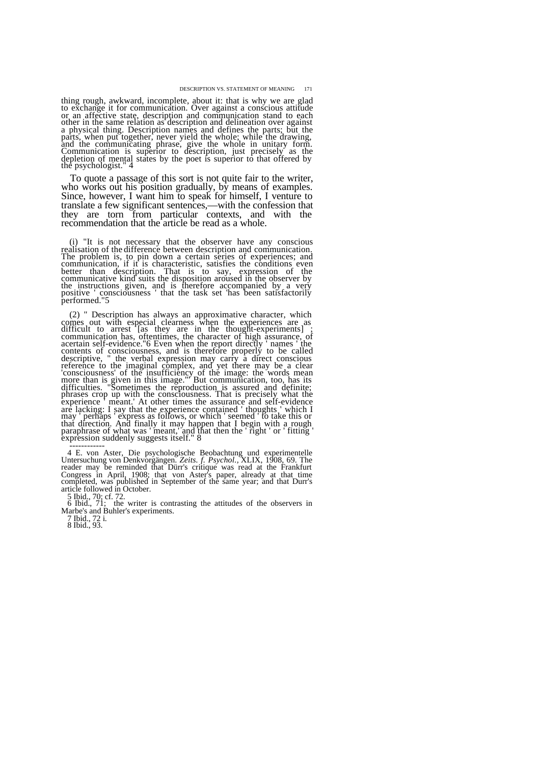thing rough, awkward, incomplete, about it: that is why we are glad to exchange it for communication. Over against a conscious attitude or an affective state, description and communication stand to each other in the same relation as description and delineation over against a physical thing. Description names and defines the parts; but the parts, when put together, never yield the whole; while the drawing, and the communicating phrase, give the whole in unitary form. Communication is superior to description, just precisely as the depletion of mental states by the poet is superior to that offered by the psychologist." 4

To quote a passage of this sort is not quite fair to the writer, who works out his position gradually, by means of examples. Since, however, I want him to speak for himself, I venture to translate a few significant sentences,—with the confession that they are torn from particular contexts, and with the recommendation that the article be read as a whole.

(i) "It is not necessary that the observer have any conscious realisation of the difference between description and communication. The problem is, to pin down a certain series of experiences; and communication, if it is characteristic, satisfies the conditions even better than description. That is to say, expression of the communicative kind suits the disposition aroused in the observer by the instructions given, and is therefore accompanied by a very positive ' consciousness ' that the task set 'has been satisfactorily performed."5

(2) " Description has always an approximative character, which comes out with especial clearness when the experiences are as difficult to arrest [as they are in the thought-experiments] ; communication has, oftentimes, the character of high assurance, of acertain self-evidence."6 Even when the report directly ' names ' the contents of consciousness, and is therefore properly to be called descriptive, " the verbal expression may carry a direct conscious reference to the imaginal complex, and yet there may be a clear 'consciousness' of the insufficiency of the image: the words mean more than is given in this image."' But communication, too, has its difficulties. "Sometimes the reproduction is assured and definite; phrases crop up with the consciousness. That is precisely what the experience ' meant.' At other times the assurance and self-evidence are lacking: I say that the experience contained ' thoughts ' which I may ' perhaps ' express as follows, or which ' seemed ' to take this or that direction. And finally it may happen that I begin with a rough paraphrase of what was ' meant,' and that then the ' right ' or ' fitting ' expression suddenly suggests itself." 8 <u>.</u><br>-------------

4 E. von Aster, Die psychologische Beobachtung und experimentelle Untersuchung von Denkvorgängen. *Zeits. f. Psychol.,* XLIX, 1908, 69. The reader may be reminded that Dürr's critique was read at the Frankfurt Congress in April, 1908; that von Aster's paper, already at that time completed, was published in September of the same year; and that Durr's article followed in October.

5 Ibid., 70; cf. 72. 6 Ibid., 71; the writer is contrasting the attitudes of the observers in Marbe's and Buhler's experiments.

7 Ibid., 72 i. 8 Ibid., 93.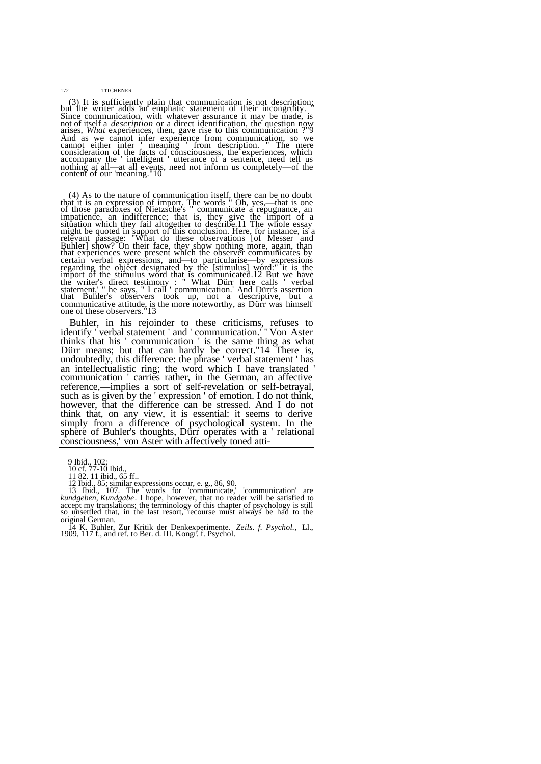(3) It is sufficiently plain that communication is not description; but the writer adds an emphatic statement of their incongruity. " Since communication, with whatever assurance it may be made, is not of itself a *description* or a direct identification, the question now arises, *What* experiences, then, gave rise to this communication ?"9 And as we cannot infer experience from communication, so we cannot either infer ' meaning ' from description. " The mere consideration of the facts of consciousness, the experiences, which accompany the ' intelligent ' utterance of a sentence, need tell us nothing at all—at all events, need not inform us completely—of the content of our 'meaning."10

(4) As to the nature of communication itself, there can be no doubt that it is an expression of import. The words " Oh, yes,—that is one of those paradoxes of Nietzsche's " communicate a repugnance, an impatience, an indifference; that is, they give the import of a situation which they fail altogether to describe.11 The whole essay might be quoted in support of this conclusion. Here, for instance, is a relevant passage: "What do these observations [of Messer and Buhler] show? On their face, they show nothing more, again, than that experiences were present which the observer communicates by certain verbal expressions, and—to particularise—by expressions regarding the object designated by the [stimulus] word:" it is the import of the stimulus word that is communicated.12 But we have the writer's direct testimony : " What Dürr here calls ' verbal statement,' " he says, " I call ' communication.' And Dürr's assertion that Buhler's observers took up, not a descriptive, but a communicative attitude, is the more noteworthy, as Dürr was himself one of these observers."13

Buhler, in his rejoinder to these criticisms, refuses to identify ' verbal statement ' and ' communication.' " Von Aster thinks that his ' communication ' is the same thing as what Dürr means; but that can hardly be correct."14 There is, undoubtedly, this difference: the phrase ' verbal statement ' has an intellectualistic ring; the word which I have translated ' communication ' carries rather, in the German, an affective reference,—implies a sort of self-revelation or self-betrayal, such as is given by the ' expression ' of emotion. I do not think, however, that the difference can be stressed. And I do not think that, on any view, it is essential: it seems to derive simply from a difference of psychological system. In the sphere of Buhler's thoughts, Dürr operates with a ' relational consciousness,' von Aster with affectively toned atti-

<sup>9</sup> Ibid., 102; 10 cf. 77-10 Ibid.,

<sup>11 82. 11</sup> ibid., 65 ff..

<sup>12</sup> Ibid., 85; similar expressions occur, e. g., 86, 90. 13 Ibid., 107. The words for 'communicate,' 'communication' are *kundgeben, Kundgabe*. I hope, however, that no reader will be satisfied to accept my translations; the terminology of this chapter of psychology is still so unsettled that, in the last resort, recourse must always be had to the original German.

<sup>14</sup> K. Buhler, Zur Kritik der Denkexperimente. *Zeils. f. Psychol.,* Ll., 1909, 117 f., and ref. to Ber. d. III. Kongr. f. Psychol.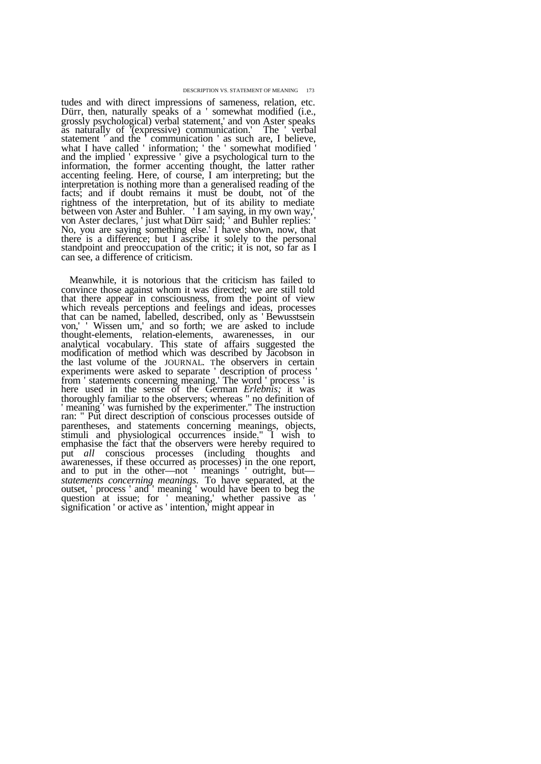tudes and with direct impressions of sameness, relation, etc. Dürr, then, naturally speaks of a ' somewhat modified (i.e., grossly psychological) verbal statement,' and von Aster speaks as naturally of '(expressive) communication.' The ' verbal statement <sup>'</sup> and the <sup>+</sup> communication ' as such are, I believe, what I have called ' information; ' the ' somewhat modified ' and the implied ' expressive ' give a psychological turn to the information, the former accenting thought, the latter rather accenting feeling. Here, of course, I am interpreting; but the interpretation is nothing more than a generalised reading of the facts; and if doubt remains it must be doubt, not of the rightness of the interpretation, but of its ability to mediate between von Aster and Buhler. ' I am saying, in my own way,' von Aster declares, ' just what Dürr said; ' and Buhler replies: ' No, you are saying something else.' I have shown, now, that there is a difference; but I ascribe it solely to the personal standpoint and preoccupation of the critic; it is not, so far as I can see, a difference of criticism.

Meanwhile, it is notorious that the criticism has failed to convince those against whom it was directed; we are still told that there appear in consciousness, from the point of view which reveals perceptions and feelings and ideas, processes that can be named, labelled, described, only as ' Bewusstsein von,' ' Wissen um,' and so forth; we are asked to include thought-elements, relation-elements, awarenesses, in our analytical vocabulary. This state of affairs suggested the modification of method which was described by Jacobson in the last volume of the JOURNAL. The observers in certain experiments were asked to separate ' description of process ' from ' statements concerning meaning.' The word ' process ' is here used in the sense of the German *Erlebnis;* it was thoroughly familiar to the observers; whereas " no definition of ' meaning' was furnished by the experimenter." The instruction ran: " Put direct description of conscious processes outside of parentheses, and statements concerning meanings, objects, stimuli and physiological occurrences inside." I wish to emphasise the fact that the observers were hereby required to put *all* conscious processes (including thoughts and awarenesses, if these occurred as processes) in the one report, and to put in the other—not ' meanings ' outright, but *statements concerning meanings.* To have separated, at the outset, ' process ' and ' meaning ' would have been to beg the question at issue; for ' meaning,' whether passive as ' signification ' or active as ' intention,' might appear in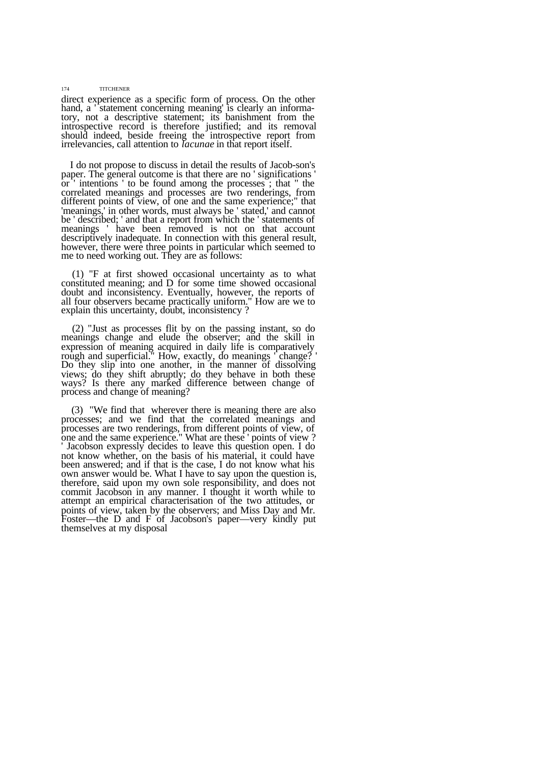direct experience as a specific form of process. On the other hand, a 'statement concerning meaning' is clearly an informatory, not a descriptive statement; its banishment from the introspective record is therefore justified; and its removal should indeed, beside freeing the introspective report from irrelevancies, call attention to *lacunae* in that report itself.

I do not propose to discuss in detail the results of Jacob-son's paper. The general outcome is that there are no ' significations ' or ' intentions ' to be found among the processes ; that " the correlated meanings and processes are two renderings, from different points of view, of one and the same experience;" that 'meanings,' in other words, must always be ' stated,' and cannot be ' described; ' and that a report from which the ' statements of meanings ' have been removed is not on that account descriptively inadequate. In connection with this general result, however, there were three points in particular which seemed to me to need working out. They are as follows:

(1) "F at first showed occasional uncertainty as to what constituted meaning; and D for some time showed occasional doubt and inconsistency. Eventually, however, the reports of all four observers became practically uniform." How are we to explain this uncertainty, doubt, inconsistency ?

(2) "Just as processes flit by on the passing instant, so do meanings change and elude the observer; and the skill in expression of meaning acquired in daily life is comparatively rough and superficial." How, exactly, do meanings 'change? ' Do they slip into one another, in the manner of dissolving views; do they shift abruptly; do they behave in both these ways? Is there any marked difference between change of process and change of meaning?

(3) "We find that wherever there is meaning there are also processes; and we find that the correlated meanings and processes are two renderings, from different points of view, of one and the same experience." What are these ' points of view ? ' Jacobson expressly decides to leave this question open. I do not know whether, on the basis of his material, it could have been answered; and if that is the case, I do not know what his own answer would be. What I have to say upon the question is, therefore, said upon my own sole responsibility, and does not commit Jacobson in any manner. I thought it worth while to attempt an empirical characterisation of the two attitudes, or points of view, taken by the observers; and Miss Day and Mr. Foster—the D and F of Jacobson's paper—very kindly put themselves at my disposal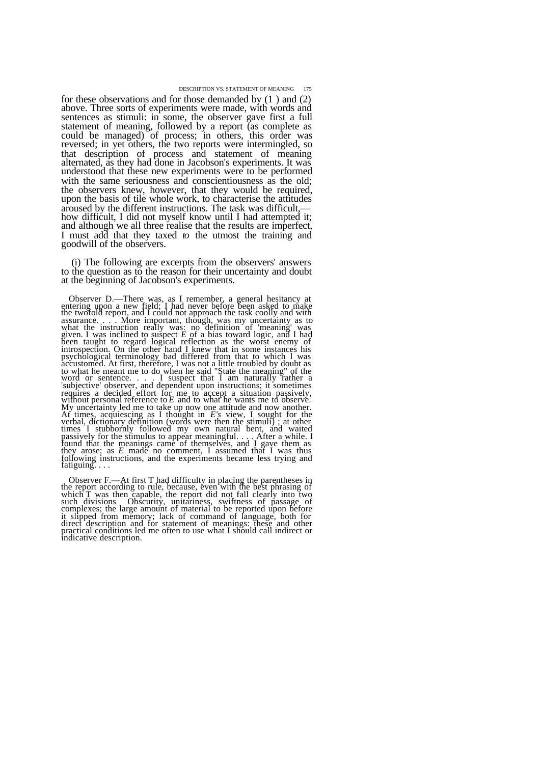for these observations and for those demanded by (1 ) and (2) above. Three sorts of experiments were made, with words and sentences as stimuli: in some, the observer gave first a full statement of meaning, followed by a report (as complete as could be managed) of process; in others, this order was reversed; in yet others, the two reports were intermingled, so that description of process and statement of meaning alternated, as they had done in Jacobson's experiments. It was understood that these new experiments were to be performed with the same seriousness and conscientiousness as the old; the observers knew, however, that they would be required, upon the basis of tile whole work, to characterise the attitudes aroused by the different instructions. The task was difficult, how difficult, I did not myself know until I had attempted it; and although we all three realise that the results are imperfect, I must add that they taxed *to* the utmost the training and goodwill of the observers.

(i) The following are excerpts from the observers' answers to the question as to the reason for their uncertainty and doubt at the beginning of Jacobson's experiments.

Observer D.—There was, as I remember, a general hesitancy at entering upon a new field; I had never before been asked to make the twofold report, and I could not approach the task coolly and with assurance. . . . More important, though, was my uncertainty as to what the instruction really was: no definition of 'meaning' was given. I was inclined to suspect *E* of a bias toward logic, and I had been taught to regard logical reflection as the worst enemy of introspection. On the other hand I knew that in some instances his psychological terminology bad differed from that to which I was accustomed. At first, therefore, I was not a little troubled by doubt as to what he meant me to do when he said "State the meaning" of the word or sentence. . . . I suspect that I am naturally rather a 'subjective' observer, and dependent upon instructions; it sometimes requires a decided effort for me to accept a situation passively, without personal reference to *E* and to what he wants me to observe. My uncertainty led me to take up now one attitude and now another. At times, acquiescing as I thought in *E's* view, I sought for the verbal, dictionary definition (words were then the stimuli) ; at other times I stubbornly followed my own natural bent, and waited passively for the stimulus to appear meaningful. . . . After a while. I found that the meanings came of themselves, and I gave them as they arose; as *E* made no comment, I assumed that I was thus following instructions, and the experiments became less trying and fatiguing. . . .

Observer F.—At first T had difficulty in placing the parentheses in the report according to rule, because, even with the best phrasing of which T was then capable, the report did not fall clearly into two such divisions Obscurity, unitariness, swiftness of passage of complexes; the large amount of material to be reported upon before it slipped from memory; lack of command of language, both for direct description and for statement of meanings: these and other practical conditions led me often to use what I should call indirect or indicative description.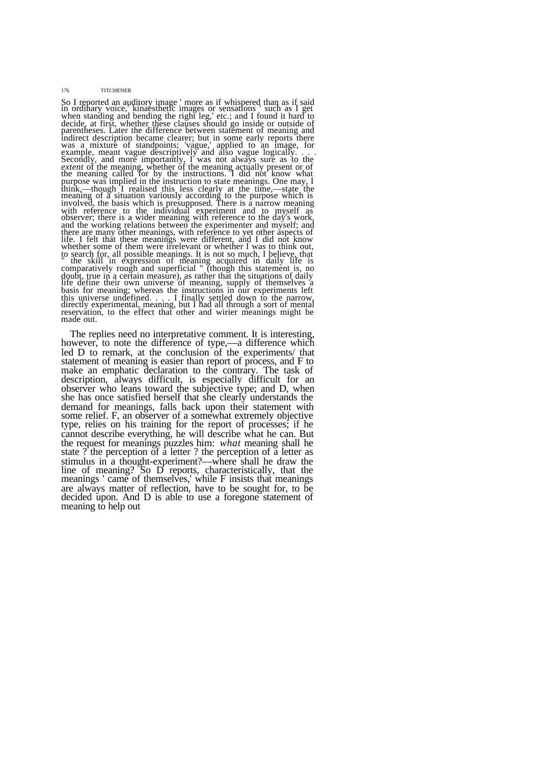So I reported an auditory image ' more as if whispered than as if said in ordinary voice,' kinaesthetic images or sensations ' such as I get when standing and bending the right leg,' etc.; and I found it hard to decide, at first, whether these clauses should go inside or outside of parentheses. Later the difference between statement of meaning and indirect description became clearer; but in some early reports there was a mixture of standpoints; vague, applied to an image, for example, meant vague descriptively and also vague logically. Secondly, and more importantly, I was not always sure as to the *extent* of the meaning, whether of the meaning actually present or of the meaning called for by the instructions. I did not know what purpose was implied in the instruction to state meanings. One may, I think,—though I realised this less clearly at the time,—state the meaning of a situation variously according to the purpose which is involved, the basis which is presupposed. There is a narrow meaning with reference to the individual experiment and to myself as observer; there is a wider meaning with reference to the day's work, and the working relations between the experimenter and myself; and there are many other meanings, with reference to yet other aspects of life. I felt that these meanings were different, and I did not know whether some of them were irrelevant or whether I was to think out, to search for, all possible meanings. It is not so much, I believe, that " the skill in expression of meaning acquired in daily life is comparatively rough and superficial " (though this statement is, no doubt, true in a certain measure), as rather that the situations of daily life define their own universe of meaning, supply of themselves a basis for meaning; whereas the instructions in our experiments left this universe undefined. . . . I finally settled down to the narrow, directly experimental, meaning, but I had all through a sort of mental reservation, to the effect that other and wirier meanings might be made out.

The replies need no interpretative comment. It is interesting, however, to note the difference of type,—a difference which led D to remark, at the conclusion of the experiments/ that statement of meaning is easier than report of process, and F to make an emphatic declaration to the contrary. The task of description, always difficult, is especially difficult for an observer who leans toward the subjective type; and D, when she has once satisfied herself that she clearly understands the demand for meanings, falls back upon their statement with some relief. F, an observer of a somewhat extremely objective type, relies on his training for the report of processes; if he cannot describe everything, he will describe what he can. But the request for meanings puzzles him: *what* meaning shall he state ? the perception of a letter ? the perception of a letter as stimulus in a thought-experiment?—where shall he draw the line of meaning? So D reports, characteristically, that the meanings ' came of themselves,' while F insists that meanings are always matter of reflection, have to be sought for, to be decided upon. And D is able to use a foregone statement of meaning to help out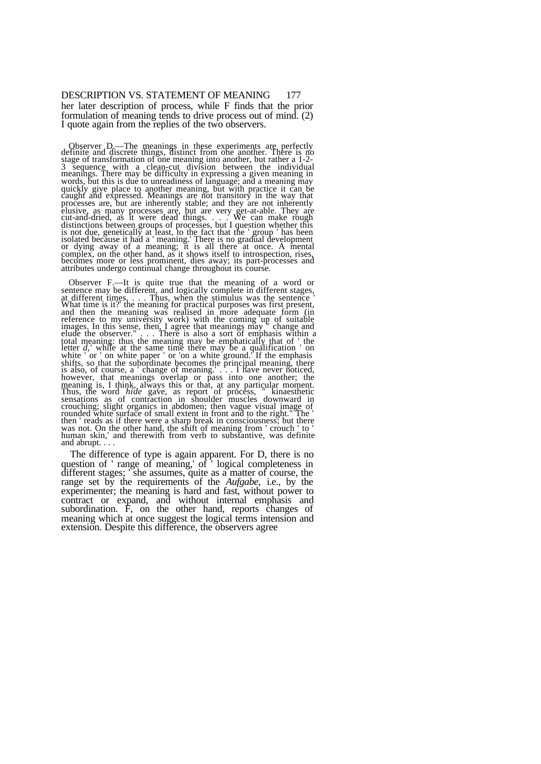### DESCRIPTION VS. STATEMENT OF MEANING 177 her later description of process, while F finds that the prior formulation of meaning tends to drive process out of mind. (2) I quote again from the replies of the two observers.

Observer D.—The meanings in these experiments are perfectly definite and discrete things, distinct from one another. There is no stage of transformation of one meaning into another, but rather a 1-2- 3 sequence with a clean-cut division between the individual meanings. There may be difficulty in expressing a given meaning in words, but this is due to unreadiness of language; and a meaning may quickly give place to another meaning, but with practice it can be caught and expressed. Meanings are not transitory in the way that processes are, but are inherently stable; and they are not inherently elusive, as many processes are, but are very get-at-able. They are cut-and-dried, as it were dead things. . . . We can make rough distinctions between groups of processes, but I question whether this is not due, genetically at least, to the fact that the ' group ' has been isolated because it had a ' meaning.' There is no gradual development or dying away of a meaning; it is all there at once. A mental complex, on the other hand, as it shows itself to introspection, rises, becomes more or less prominent, dies away; its part-processes and attributes undergo continual change throughout its course.

Observer F.—It is quite true that the meaning of a word or sentence may be different, and logically complete in different stages, at different times. . . . Thus, when the stimulus was the sentence ' What time is it?' the meaning for practical purposes was first present, and then the meaning was realised in more adequate form (in reference to my university work) with the coming up of suitable images. In this sense, then, I agree that meanings may " change and elude the observer."... There is also a sort of emphasis within a total meaning: thus the meaning may be emphatically that of ' the letter *d,'* while at the same time there may be a qualification ' on white ' or ' on white paper ' or 'on a white ground.' If the emphasis shifts, so that the subordinate becomes the principal meaning, there is also, of course, a ' change of meaning.' . . . I have never noticed, however, that meanings overlap or pass into one another; the meaning is, I think, always this or that, at any particular moment. Thus, the word *hide* gave, as report of process, " kinaesthetic sensations as of contraction in shoulder muscles downward in crouching; slight organics in abdomen; then vague visual image of rounded white surface of small extent in front and to the right." The ' then ' reads as if there were a sharp break in consciousness; but there was not. On the other hand, the shift of meaning from ' crouch ' to ' human skin,' and therewith from verb to substantive, was definite and abrupt.  $\ldots$ 

The difference of type is again apparent. For D, there is no question of ' range of meaning,' of ' logical completeness in different stages; 'she assumes, quite as a matter of course, the range set by the requirements of the *Aufgabe*, i.e., by the experimenter; the meaning is hard and fast, without power to contract or expand, and without internal emphasis and subordination. F, on the other hand, reports changes of meaning which at once suggest the logical terms intension and extension. Despite this difference, the observers agree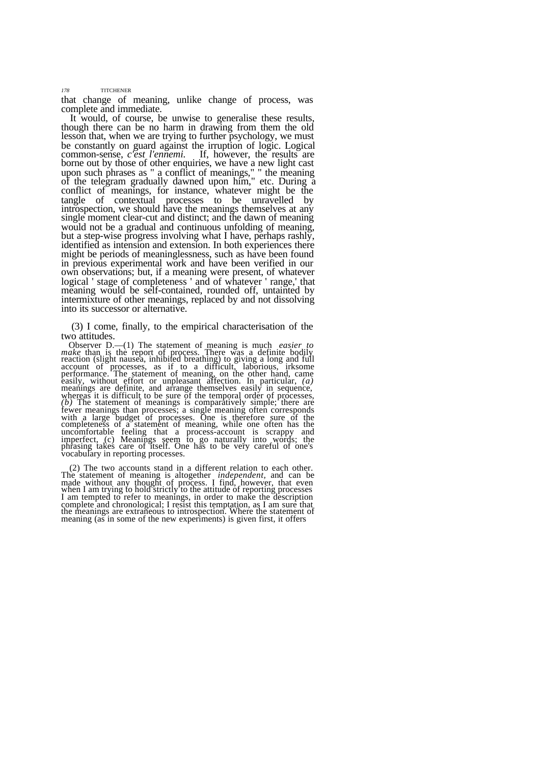that change of meaning, unlike change of process, was complete and immediate.

It would, of course, be unwise to generalise these results, though there can be no harm in drawing from them the old lesson that, when we are trying to further psychology, we must be constantly on guard against the irruption of logic. Logical common-sense,  $c'est l'ennemi$ . If, however, the results are common-sense, *c'est l'ennemi.* If, however, the results are borne out by those of other enquiries, we have a new light cast upon such phrases as " a conflict of meanings," " the meaning of the telegram gradually dawned upon him," etc. During a conflict of meanings, for instance, whatever might be the tangle of contextual processes to be unravelled by introspection, we should have the meanings themselves at any single moment clear-cut and distinct; and the dawn of meaning would not be a gradual and continuous unfolding of meaning, but a step-wise progress involving what I have, perhaps rashly, identified as intension and extension. In both experiences there might be periods of meaninglessness, such as have been found in previous experimental work and have been verified in our own observations; but, if a meaning were present, of whatever logical ' stage of completeness ' and of whatever ' range,' that meaning would be self-contained, rounded off, untainted by intermixture of other meanings, replaced by and not dissolving into its successor or alternative.

(3) I come, finally, to the empirical characterisation of the two attitudes.

Observer D.—(1) The statement of meaning is much *easier to* make than is the report of process. There was a definite bodily reaction (slight nausea, inhibited breathing) to giving a long and full account of processes, as if to a difficult, laborious, irksome performance. The statement of meaning, on the other hand, came easily, without effort or unpleasant affection. In particular, *(a)* meanings are definite, and arrange themselves easily in sequence, whereas it is difficult to be sure of the temporal order of processes, (b) The statement of meanings is comparatively simple; there are fewer meanings than processes; a single meaning often corresponds with a large budget of processes. One is therefore sure of the completeness of a statement of meaning, while one often has the uncomfortable feeling that a process-account is scrappy and imperfect, (c) Meanings seem to go naturally into words; the phrasing takes care of itself. One has to be very careful of one's vocabulary in reporting processes.

(2) The two accounts stand in a different relation to each other. The statement of meaning is altogether *independent*, and can be made without any thought of process. I find, however, that even when I am trying to hold strictly to the attitude of reporting processes I am tempted to refer to meanings, in order to make the description complete and chronological; I resist this temptation, as I am sure that the meanings are extraneous to introspection. Where the statement of meaning (as in some of the new experiments) is given first, it offers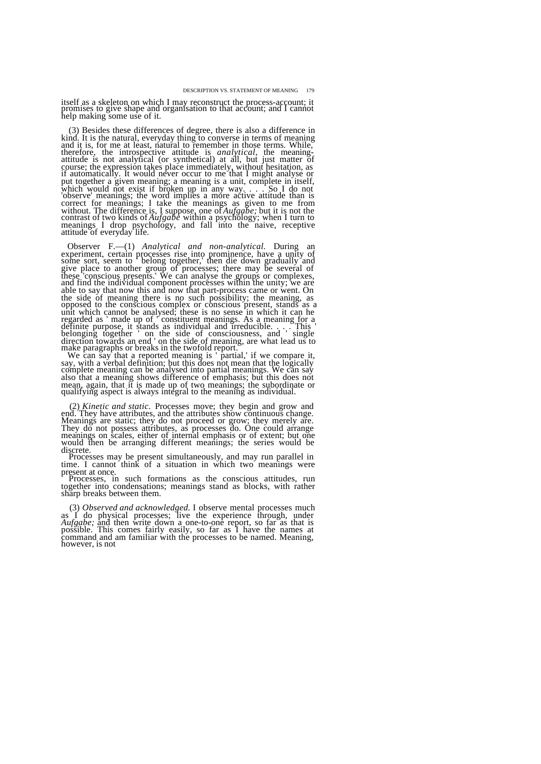itself as a skeleton on which I may reconstruct the process-account; it promises to give shape and organisation to that account; and I cannot help making some use of it.

(3) Besides these differences of degree, there is also a difference in kind. It is the natural, everyday thing to converse in terms of meaning and it is, for me at least, natural to remember in those terms. While, therefore, the introspective attitude is *analytical,* the meaningattitude is not analytical (or synthetical) at all, but just matter of course; the expression takes place immediately, without hesitation, as if automatically. It would never occur to me that I might analyse or put together a given meaning; a meaning is a unit, complete in itself, which would not exist if broken up in any way. . . . So I do not 'observe' meanings; the word implies a more active attitude than is correct for meanings; I take the meanings as given to me from without. The difference is, I suppose, one of *Aufgabe;* but it is not the contrast of two kinds of *Aufgabe* within a psychology; when I turn to meanings I drop psychology, and fall into the naive, receptive attitude of everyday life.

Observer F.—(1) *Analytical and non-analytical.* During an experiment, certain processes rise into prominence, have a unity of some sort, seem to belong together, then die down gradually and give place to another group of processes; there may be several of these 'conscious presents.' We can analyse the groups or complexes, and find the individual component processes within the unity; we are able to say that now this and now that part-process came or went. On the side of meaning there is no such possibility; the meaning, as opposed to the conscious complex or conscious present, stands as a unit which cannot be analysed; these is no sense in which it can he regarded as ' made up of ' constituent meanings. As a meaning for a definite purpose, it stands as individual and irreducible. . . . This ' belonging together ' on the side of consciousness, and ' single direction towards an end ' on the side of meaning, are what lead us to make paragraphs or breaks in the twofold report.

We can say that a reported meaning is ' partial,' if we compare it, say, with a verbal definition; but this does not mean that the logically complete meaning can be analysed into partial meanings. We can say also that a meaning shows difference of emphasis; but this does not mean, again, that it is made up of two meanings; the subordinate or qualifying aspect is always integral to the meaning as individual.

(2) *Kinetic and static.* Processes move; they begin and grow and end. They have attributes, and the attributes show continuous change. Meanings are static; they do not proceed or grow; they merely are. They do not possess attributes, as processes do. One could arrange meanings on scales, either of internal emphasis or of extent; but one would then be arranging different meanings; the series would be

discrete.<br>Processes may be present simultaneously, and may run parallel in time. I cannot think of a situation in which two meanings were present at once.

Processes, in such formations as the conscious attitudes, run together into condensations; meanings stand as blocks, with rather sharp breaks between them.

(3) *Observed and acknowledged.* I observe mental processes much as I do physical processes; live the experience through, under *Aufgabe;* and then write down a one-to-one report, so far as that is possible. This comes fairly easily, so far as I have the names at command and am familiar with the processes to be named. Meaning, however, is not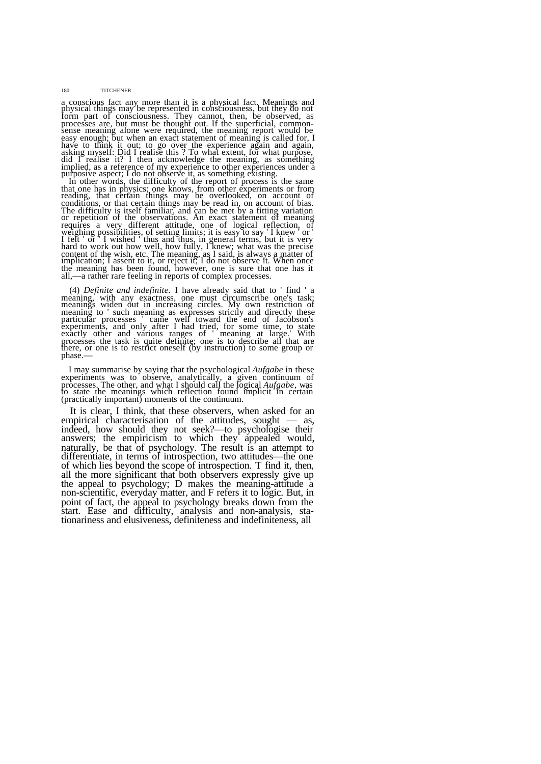a conscious fact any more than it is a physical fact. Meanings and physical things may be represented in consciousness, but they do not form part of consciousness. They cannot, then, be observed, as processes are, but must be thought out. If the superficial, common-sense meaning alone were required, the meaning report would be easy enough; but when an exact statement of meaning is called for, I have to think it out; to go over the experience again and again, asking myself: Did I realise this ? To what extent, for what purpose, did I realise it? I then acknowledge the meaning, as something implied, as a reference of my experience to other experiences under a purposive aspect; I do not observe it, as something existing.

In other words, the difficulty of the report of process is the same that one has in physics; one knows, from other experiments or from reading, that certain things may be overlooked, on account of conditions, or that certain things may be read in, on account of bias. The difficulty is itself familiar, and can be met by a fitting variation or repetition of the observations. An exact statement of meaning requires a very different attitude, one of logical reflection, of weighing possibilities, of setting limits; it is easy to say ' I knew ' or ' I felt ' or ' I wished ' thus and thus, in general terms, but it is very hard to work out how well, how fully, I knew; what was the precise content of the wish, etc. The meaning, as I said, is always a matter of implication; I assent to it, or reject it; I do not observe it. When once the meaning has been found, however, one is sure that one has it all,—a rather rare feeling in reports of complex processes.

(4) *Definite and indefinite.* I have already said that to ' find ' a meaning, with any exactness, one must circumscribe one's task; meanings widen out in increasing circles. My own restriction of meaning to ' such meaning as expresses strictly and directly these particular processes ' came well toward the end of Jacobson's experiments, and only after I had tried, for some time, to state exactly other and various ranges of ' meaning at large.' With processes the task is quite definite; one is to describe all that are there, or one is to restrict oneself (by instruction) to some group or phase.

I may summarise by saying that the psychological *Aufgabe* in these experiments was to observe, analytically, a given continuum of processes. The other, and what I should call the logical *Aufgabe*, was<br>to state the meanings which reflection found implicit in certain (practically important) moments of the continuum.

It is clear, I think, that these observers, when asked for an empirical characterisation of the attitudes, sought — as, indeed, how should they not seek?—to psychologise their answers; the empiricism to which they appealed would, naturally, be that of psychology. The result is an attempt to differentiate, in terms of introspection, two attitudes—the one of which lies beyond the scope of introspection. T find it, then, all the more significant that both observers expressly give up the appeal to psychology; D makes the meaning-attitude a non-scientific, everyday matter, and F refers it to logic. But, in point of fact, the appeal to psychology breaks down from the start. Ease and difficulty, analysis and non-analysis, stationariness and elusiveness, definiteness and indefiniteness, all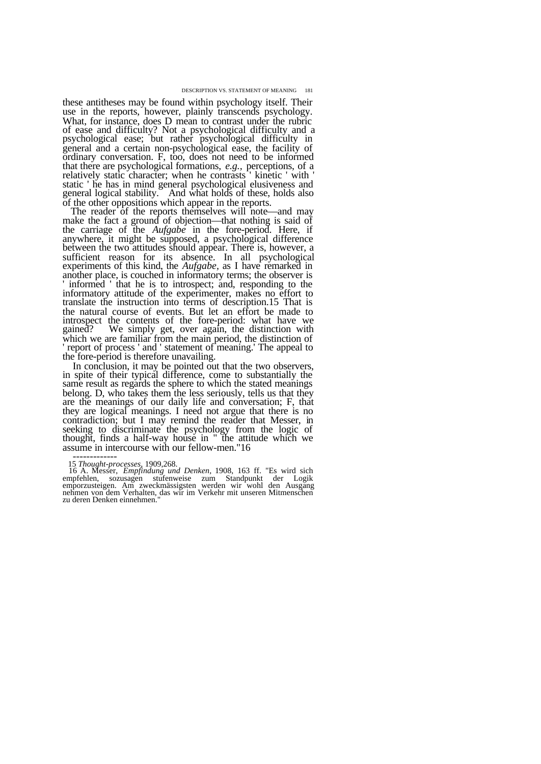these antitheses may be found within psychology itself. Their use in the reports, however, plainly transcends psychology. What, for instance, does D mean to contrast under the rubric of ease and difficulty? Not a psychological difficulty and a psychological ease; but rather psychological difficulty in general and a certain non-psychological ease, the facility of ordinary conversation. F, too, does not need to be informed that there are psychological formations, *e.g.,* perceptions, of a relatively static character; when he contrasts ' kinetic ' with ' static ' he has in mind general psychological elusiveness and general logical stability. And what holds of these, holds also of the other oppositions which appear in the reports.

The reader of the reports themselves will note—and may make the fact a ground of objection—that nothing is said of the carriage of the *Aufgabe* in the fore-period. Here, if anywhere, it might be supposed, a psychological difference between the two attitudes should appear. There is, however, a sufficient reason for its absence. In all psychological experiments of this kind, the *Aufgabe,* as I have remarked in another place, is couched in informatory terms; the observer is ' informed ' that he is to introspect; and, responding to the informatory attitude of the experimenter, makes no effort to translate the instruction into terms of description.15 That is the natural course of events. But let an effort be made to introspect the contents of the fore-period: what have we gained? We simply get, over again, the distinction with which we are familiar from the main period, the distinction of ' report of process ' and ' statement of meaning.' The appeal to the fore-period is therefore unavailing.

In conclusion, it may be pointed out that the two observers, in spite of their typical difference, come to substantially the same result as regards the sphere to which the stated meanings belong. D, who takes them the less seriously, tells us that they are the meanings of our daily life and conversation; F, that they are logical meanings. I need not argue that there is no contradiction; but I may remind the reader that Messer, in seeking to discriminate the psychology from the logic of thought, finds a half-way house in " the attitude which we assume in intercourse with our fellow-men."16

------------- 15 *Thought-processes,* 1909,268. 16 A. Messer, *Empfindung und Denken,* 1908, 163 ff. "Es wird sich empfehlen, sozusagen stufenweise zum Standpunkt der Logik emporzusteigen. Am zweckmässigsten werden wir wohl den Ausgang nehmen von dem Verhalten, das wir im Verkehr mit unseren Mitmenschen zu deren Denken einnehmen.'